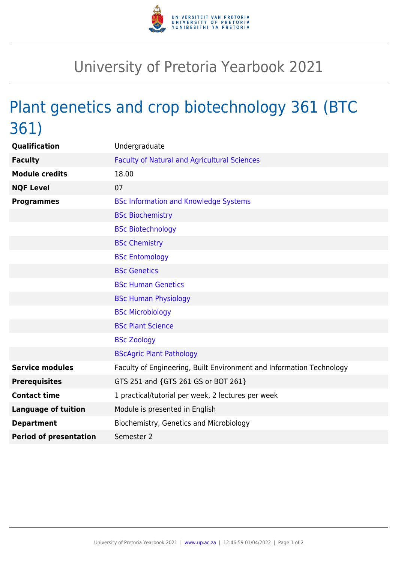

## University of Pretoria Yearbook 2021

## Plant genetics and crop biotechnology 361 (BTC 361)

| <b>Qualification</b>          | Undergraduate                                                        |
|-------------------------------|----------------------------------------------------------------------|
| <b>Faculty</b>                | <b>Faculty of Natural and Agricultural Sciences</b>                  |
| <b>Module credits</b>         | 18.00                                                                |
| <b>NQF Level</b>              | 07                                                                   |
| <b>Programmes</b>             | <b>BSc Information and Knowledge Systems</b>                         |
|                               | <b>BSc Biochemistry</b>                                              |
|                               | <b>BSc Biotechnology</b>                                             |
|                               | <b>BSc Chemistry</b>                                                 |
|                               | <b>BSc Entomology</b>                                                |
|                               | <b>BSc Genetics</b>                                                  |
|                               | <b>BSc Human Genetics</b>                                            |
|                               | <b>BSc Human Physiology</b>                                          |
|                               | <b>BSc Microbiology</b>                                              |
|                               | <b>BSc Plant Science</b>                                             |
|                               | <b>BSc Zoology</b>                                                   |
|                               | <b>BScAgric Plant Pathology</b>                                      |
| <b>Service modules</b>        | Faculty of Engineering, Built Environment and Information Technology |
| <b>Prerequisites</b>          | GTS 251 and {GTS 261 GS or BOT 261}                                  |
| <b>Contact time</b>           | 1 practical/tutorial per week, 2 lectures per week                   |
| <b>Language of tuition</b>    | Module is presented in English                                       |
| <b>Department</b>             | Biochemistry, Genetics and Microbiology                              |
| <b>Period of presentation</b> | Semester 2                                                           |